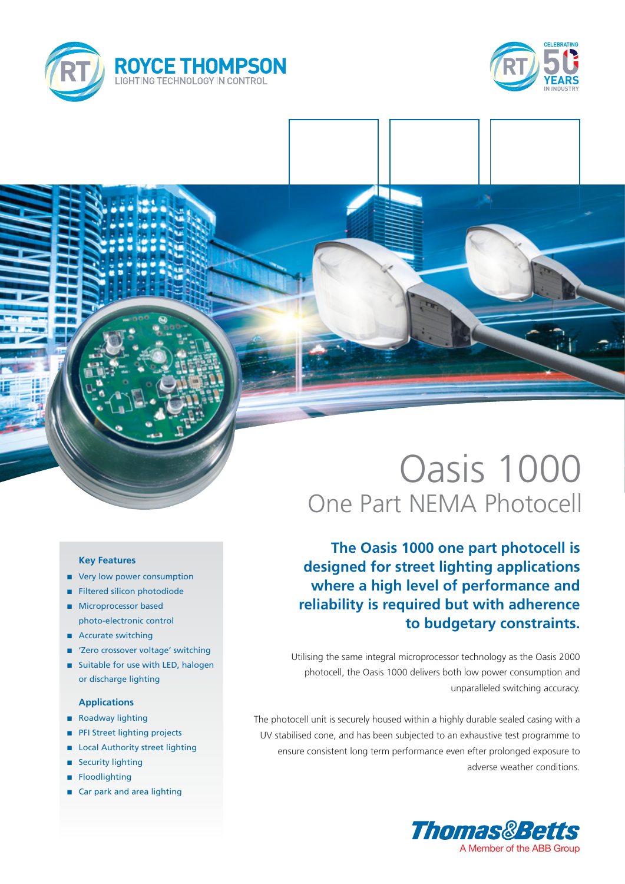



# Oasis 1000 One Part NEMA Photocell

**The Oasis 1000 one part photocell is designed for street lighting applications where a high level of performance and reliability is required but with adherence to budgetary constraints.**

Utilising the same integral microprocessor technology as the Oasis 2000 photocell, the Oasis 1000 delivers both low power consumption and unparalleled switching accuracy.

The photocell unit is securely housed within a highly durable sealed casing with a UV stabilised cone, and has been subjected to an exhaustive test programme to ensure consistent long term performance even efter prolonged exposure to adverse weather conditions.



### **Key Features**

- very low power consumption
- **n** Filtered silicon photodiode
- **n** Microprocessor based photo-electronic control
- Accurate switching
- 'Zero crossover voltage' switching
- Suitable for use with LED, halogen or discharge lighting

### **Applications**

- n Roadway lighting
- **n** PFI Street lighting projects
- Local Authority street lighting
- Security lighting
- **n** Floodlighting
- Car park and area lighting